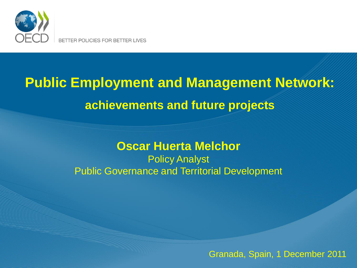

BETTER POLICIES FOR BETTER LIVES

# **Public Employment and Management Network: achievements and future projects**

#### **Oscar Huerta Melchor**

Policy Analyst Public Governance and Territorial Development

Granada, Spain, 1 December 2011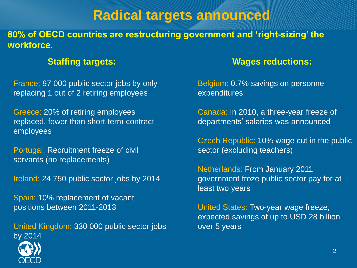# **Radical targets announced**

**80% of OECD countries are restructuring government and 'right-sizing' the workforce.**

France: 97 000 public sector jobs by only replacing 1 out of 2 retiring employees

Greece: 20% of retiring employees replaced, fewer than short-term contract employees

Portugal: Recruitment freeze of civil servants (no replacements)

Ireland: 24 750 public sector jobs by 2014

Spain: 10% replacement of vacant positions between 2011-2013

United Kingdom: 330 000 public sector jobs by 2014

#### **Staffing targets: Wages reductions:**

Belgium: 0.7% savings on personnel expenditures

Canada: In 2010, a three-year freeze of departments' salaries was announced

Czech Republic: 10% wage cut in the public sector (excluding teachers)

Netherlands: From January 2011 government froze public sector pay for at least two years

United States: Two-year wage freeze, expected savings of up to USD 28 billion over 5 years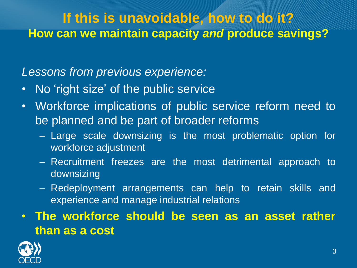# **If this is unavoidable, how to do it? How can we maintain capacity** *and* **produce savings?**

*Lessons from previous experience:*

- No 'right size' of the public service
- Workforce implications of public service reform need to be planned and be part of broader reforms
	- Large scale downsizing is the most problematic option for workforce adjustment
	- Recruitment freezes are the most detrimental approach to downsizing
	- Redeployment arrangements can help to retain skills and experience and manage industrial relations
- **The workforce should be seen as an asset rather than as a cost**

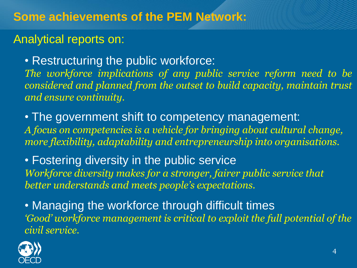#### Analytical reports on:

• Restructuring the public workforce:

*The workforce implications of any public service reform need to be considered and planned from the outset to build capacity, maintain trust and ensure continuity.*

• The government shift to competency management: *A focus on competencies is a vehicle for bringing about cultural change, more flexibility, adaptability and entrepreneurship into organisations.*

• Fostering diversity in the public service *Workforce diversity makes for a stronger, fairer public service that better understands and meets people's expectations.*

• Managing the workforce through difficult times *'Good' workforce management is critical to exploit the full potential of the civil service.*

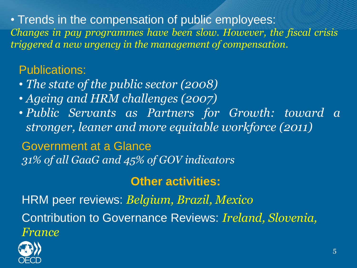• Trends in the compensation of public employees: *Changes in pay programmes have been slow. However, the fiscal crisis triggered a new urgency in the management of compensation.*

## Publications:

- *The state of the public sector (2008)*
- *Ageing and HRM challenges (2007)*
- *Public Servants as Partners for Growth: toward a stronger, leaner and more equitable workforce (2011)*

Government at a Glance *31% of all GaaG and 45% of GOV indicators*

## **Other activities:**

HRM peer reviews: *Belgium, Brazil, Mexico* Contribution to Governance Reviews: *Ireland, Slovenia, France*

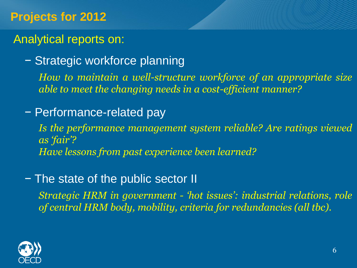## **Projects for 2012**

## Analytical reports on:

− Strategic workforce planning

*How to maintain a well-structure workforce of an appropriate size able to meet the changing needs in a cost-efficient manner?*

− Performance-related pay

*Is the performance management system reliable? Are ratings viewed as 'fair'? Have lessons from past experience been learned?*

#### − The state of the public sector II

*Strategic HRM in government - 'hot issues': industrial relations, role of central HRM body, mobility, criteria for redundancies (all tbc).*

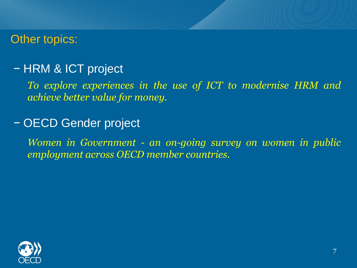#### Other topics:

## − HRM & ICT project

*To explore experiences in the use of ICT to modernise HRM and achieve better value for money.*

#### − OECD Gender project

*Women in Government - an on-going survey on women in public employment across OECD member countries.*